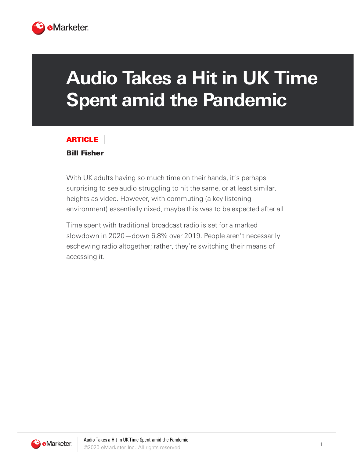

## **Audio Takes a Hit in UK Time Spent amid the Pandemic**

## ARTICLE

## Bill Fisher

With UK adults having so much time on their hands, it's perhaps surprising to see audio struggling to hit the same, or at least similar, heights as video. However, with commuting (a key listening environment) essentially nixed, maybe this was to be expected after all.

Time spent with traditional broadcast radio is set for a marked slowdown in 2020—down 6.8% over 2019. People aren't necessarily eschewing radio altogether; rather, they're switching their means of accessing it.

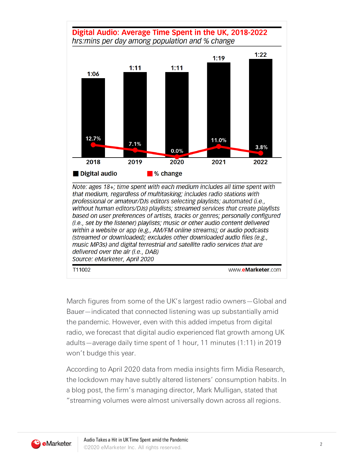

professional or amateur/DJs editors selecting playlists; automated (i.e., without human editors/DJs) playlists; streamed services that create playlists based on user preferences of artists, tracks or genres; personally configured (i.e., set by the listener) playlists; music or other audio content delivered within a website or app (e.g., AM/FM online streams); or audio podcasts (streamed or downloaded); excludes other downloaded audio files (e.g., music MP3s) and digital terrestrial and satellite radio services that are delivered over the air (i.e., DAB) Source: eMarketer, April 2020

T11002

www.eMarketer.com

March figures from some of the UK's largest radio owners—Global and Bauer—indicated that connected listening was up substantially amid the pandemic. However, even with this added impetus from digital radio, we forecast that digital audio experienced flat growth among UK adults—average daily time spent of 1 hour, 11 minutes (1:11) in 2019 won't budge this year.

According to April 2020 data from media insights firm Midia Research, the lockdown may have subtly altered listeners' consumption habits. In a blog post, the firm's managing director, Mark Mulligan, stated that "streaming volumes were almost universally down across all regions.